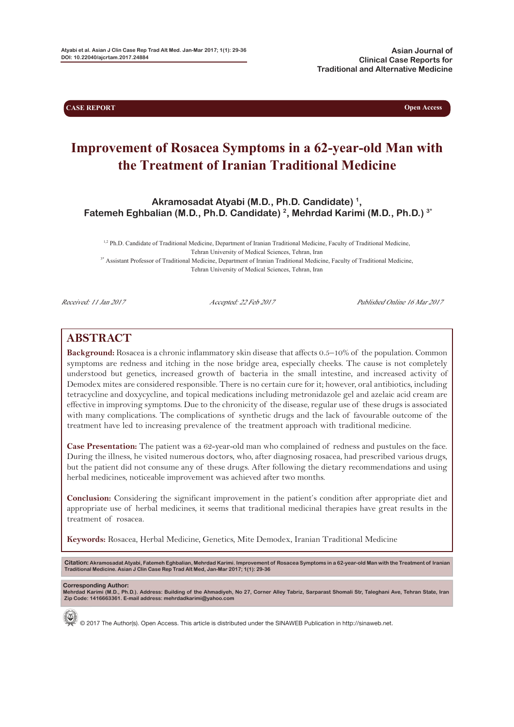**CASE REPORT Open Access** 

# **Improvement of Rosacea Symptoms in a 62-year-old Man with the Treatment of Iranian Traditional Medicine**

**Akramosadat Atyabi (M.D., Ph.D. Candidate) 1, Fatemeh Eghbalian (M.D., Ph.D. Candidate) 2, Mehrdad Karimi (M.D., Ph.D.) 3\***

 $1,2$  Ph.D. Candidate of Traditional Medicine, Department of Iranian Traditional Medicine, Faculty of Traditional Medicine, Tehran University of Medical Sciences, Tehran, Iran <sup>3\*</sup> Assistant Professor of Traditional Medicine, Department of Iranian Traditional Medicine, Faculty of Traditional Medicine, Tehran University of Medical Sciences, Tehran, Iran

Received: 11 Jan 2017 Accepted: 22 Feb 2017 Published Online 16 Mar 2017

## **ABSTRACT**

**Background:** Rosacea is a chronic inflammatory skin disease that affects 0.5–10% of the population. Common symptoms are redness and itching in the nose bridge area, especially cheeks. The cause is not completely understood but genetics, increased growth of bacteria in the small intestine, and increased activity of Demodex mites are considered responsible. There is no certain cure for it; however, oral antibiotics, including tetracycline and doxycycline, and topical medications including metronidazole gel and azelaic acid cream are effective in improving symptoms. Due to the chronicity of the disease, regular use of these drugs is associated with many complications. The complications of synthetic drugs and the lack of favourable outcome of the treatment have led to increasing prevalence of the treatment approach with traditional medicine.

**Case Presentation:** The patient was a 62-year-old man who complained of redness and pustules on the face. During the illness, he visited numerous doctors, who, after diagnosing rosacea, had prescribed various drugs, but the patient did not consume any of these drugs. After following the dietary recommendations and using herbal medicines, noticeable improvement was achieved after two months.

**Conclusion:** Considering the significant improvement in the patient's condition after appropriate diet and appropriate use of herbal medicines, it seems that traditional medicinal therapies have great results in the treatment of rosacea.

**Keywords:** Rosacea, Herbal Medicine, Genetics, Mite Demodex, Iranian Traditional Medicine

**Citation:** Akramosadat Atyabi, Fatemeh Eghbalian, Mehrdad Karimi. Improvement of Rosacea Symptoms in a 62-year-old Man with the Treatment of Iranian<br>Traditional Medicine. Asian J Clin Case Rep Trad Alt Med, Jan-Mar 2017;

**Corresponding Author: Mehrdad Karimi (M.D., Ph.D.). Address: Building of the Ahmadiyeh, No 27, Corner Alley Tabriz, Sarparast Shomali Str, Taleghani Ave, Tehran State, Iran Zip Code: 1416663361. E-mail address: mehrdadkarimi@yahoo.com**



© 2017 The Author(s). Open Access. This article is distributed under the SINAWEB Publication in http://sinaweb.net.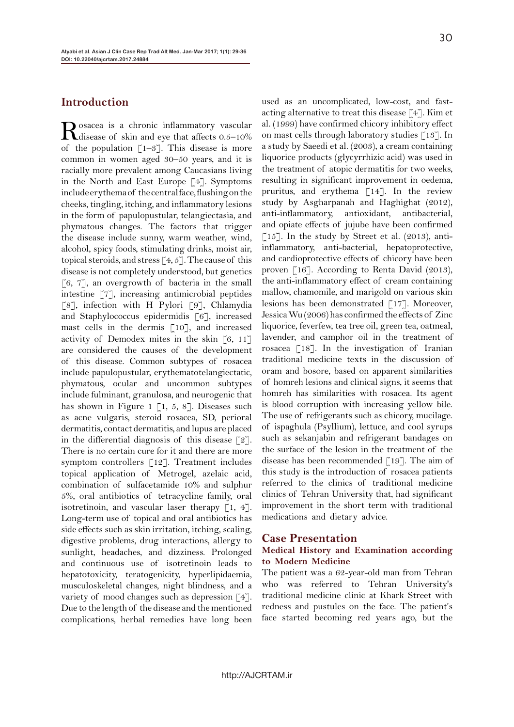#### **Introduction**

Rosacea is a chronic inflammatory vascular<br>disease of skin and eye that affects 0.5–10% of the population  $\lceil 1-3 \rceil$ . This disease is more common in women aged 30–50 years, and it is racially more prevalent among Caucasians living in the North and East Europe [4]. Symptoms include erythema of the central face, flushing on the cheeks, tingling, itching, and inflammatory lesions in the form of papulopustular, telangiectasia, and phymatous changes. The factors that trigger the disease include sunny, warm weather, wind, alcohol, spicy foods, stimulating drinks, moist air, topical steroids, and stress  $\lceil 4, 5 \rceil$ . The cause of this disease is not completely understood, but genetics  $[6, 7]$ , an overgrowth of bacteria in the small intestine [7], increasing antimicrobial peptides [8], infection with H Pylori [9], Chlamydia and Staphylococcus epidermidis [6], increased mast cells in the dermis [10], and increased activity of Demodex mites in the skin [6, 11] are considered the causes of the development of this disease. Common subtypes of rosacea include papulopustular, erythematotelangiectatic, phymatous, ocular and uncommon subtypes include fulminant, granulosa, and neurogenic that has shown in Figure 1  $\lceil 1, 5, 8 \rceil$ . Diseases such as acne vulgaris, steroid rosacea, SD, perioral dermatitis, contact dermatitis, and lupus are placed in the differential diagnosis of this disease  $\lceil 2 \rceil$ . There is no certain cure for it and there are more symptom controllers [12]. Treatment includes topical application of Metrogel, azelaic acid, combination of sulfacetamide 10% and sulphur 5%, oral antibiotics of tetracycline family, oral isotretinoin, and vascular laser therapy  $\lceil 1, 4 \rceil$ . Long-term use of topical and oral antibiotics has side effects such as skin irritation, itching, scaling, digestive problems, drug interactions, allergy to sunlight, headaches, and dizziness. Prolonged and continuous use of isotretinoin leads to hepatotoxicity, teratogenicity, hyperlipidaemia, musculoskeletal changes, night blindness, and a variety of mood changes such as depression [4]. Due to the length of the disease and the mentioned complications, herbal remedies have long been

used as an uncomplicated, low-cost, and fastacting alternative to treat this disease [4]. Kim et al. (1999) have confirmed chicory inhibitory effect on mast cells through laboratory studies [13]. In a study by Saeedi et al. (2003), a cream containing liquorice products (glycyrrhizic acid) was used in the treatment of atopic dermatitis for two weeks, resulting in significant improvement in oedema, pruritus, and erythema [14]. In the review study by Asgharpanah and Haghighat (2012), anti-inflammatory, antioxidant, antibacterial, and opiate effects of jujube have been confirmed  $[15]$ . In the study by Street et al. (2013), antiinflammatory, anti-bacterial, hepatoprotective, and cardioprotective effects of chicory have been proven [16]. According to Renta David (2013), the anti-inflammatory effect of cream containing mallow, chamomile, and marigold on various skin lesions has been demonstrated [17]. Moreover, Jessica Wu (2006) has confirmed the effects of Zinc liquorice, feverfew, tea tree oil, green tea, oatmeal, lavender, and camphor oil in the treatment of rosacea [18]. In the investigation of Iranian traditional medicine texts in the discussion of oram and bosore, based on apparent similarities of homreh lesions and clinical signs, it seems that homreh has similarities with rosacea. Its agent is blood corruption with increasing yellow bile. The use of refrigerants such as chicory, mucilage. of ispaghula (Psyllium), lettuce, and cool syrups such as sekanjabin and refrigerant bandages on the surface of the lesion in the treatment of the disease has been recommended [19]. The aim of this study is the introduction of rosacea patients referred to the clinics of traditional medicine clinics of Tehran University that, had significant improvement in the short term with traditional medications and dietary advice.

#### **Case Presentation**

#### **Medical History and Examination according to Modern Medicine**

The patient was a 62-year-old man from Tehran who was referred to Tehran University's traditional medicine clinic at Khark Street with redness and pustules on the face. The patient's face started becoming red years ago, but the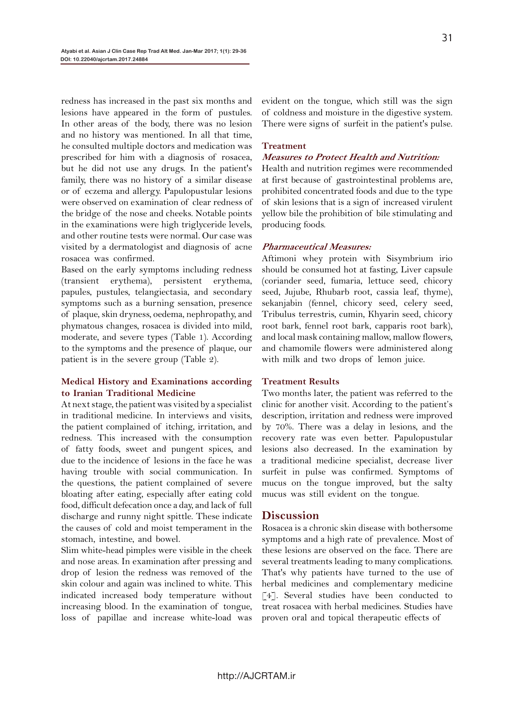redness has increased in the past six months and lesions have appeared in the form of pustules. In other areas of the body, there was no lesion and no history was mentioned. In all that time, he consulted multiple doctors and medication was prescribed for him with a diagnosis of rosacea, but he did not use any drugs. In the patient's family, there was no history of a similar disease or of eczema and allergy. Papulopustular lesions were observed on examination of clear redness of the bridge of the nose and cheeks. Notable points in the examinations were high triglyceride levels, and other routine tests were normal. Our case was visited by a dermatologist and diagnosis of acne rosacea was confirmed.

Based on the early symptoms including redness (transient erythema), persistent erythema, papules, pustules, telangiectasia, and secondary symptoms such as a burning sensation, presence of plaque, skin dryness, oedema, nephropathy, and phymatous changes, rosacea is divided into mild, moderate, and severe types (Table 1). According to the symptoms and the presence of plaque, our patient is in the severe group (Table 2).

#### **Medical History and Examinations according to Iranian Traditional Medicine**

At next stage, the patient was visited by a specialist in traditional medicine. In interviews and visits, the patient complained of itching, irritation, and redness. This increased with the consumption of fatty foods, sweet and pungent spices, and due to the incidence of lesions in the face he was having trouble with social communication. In the questions, the patient complained of severe bloating after eating, especially after eating cold food, difficult defecation once a day, and lack of full discharge and runny night spittle. These indicate the causes of cold and moist temperament in the stomach, intestine, and bowel.

Slim white-head pimples were visible in the cheek and nose areas. In examination after pressing and drop of lesion the redness was removed of the skin colour and again was inclined to white. This indicated increased body temperature without increasing blood. In the examination of tongue, loss of papillae and increase white-load was

evident on the tongue, which still was the sign of coldness and moisture in the digestive system. There were signs of surfeit in the patient's pulse.

#### **Treatment**

#### **Measures to Protect Health and Nutrition:**

Health and nutrition regimes were recommended at first because of gastrointestinal problems are, prohibited concentrated foods and due to the type of skin lesions that is a sign of increased virulent yellow bile the prohibition of bile stimulating and producing foods.

#### **Pharmaceutical Measures:**

Aftimoni whey protein with Sisymbrium irio should be consumed hot at fasting, Liver capsule (coriander seed, fumaria, lettuce seed, chicory seed, Jujube, Rhubarb root, cassia leaf, thyme), sekanjabin (fennel, chicory seed, celery seed, Tribulus terrestris, cumin, Khyarin seed, chicory root bark, fennel root bark, capparis root bark), and local mask containing mallow, mallow flowers, and chamomile flowers were administered along with milk and two drops of lemon juice.

#### **Treatment Results**

Two months later, the patient was referred to the clinic for another visit. According to the patient's description, irritation and redness were improved by 70%. There was a delay in lesions, and the recovery rate was even better. Papulopustular lesions also decreased. In the examination by a traditional medicine specialist, decrease liver surfeit in pulse was confirmed. Symptoms of mucus on the tongue improved, but the salty mucus was still evident on the tongue.

#### **Discussion**

Rosacea is a chronic skin disease with bothersome symptoms and a high rate of prevalence. Most of these lesions are observed on the face. There are several treatments leading to many complications. That's why patients have turned to the use of herbal medicines and complementary medicine [4]. Several studies have been conducted to treat rosacea with herbal medicines. Studies have proven oral and topical therapeutic effects of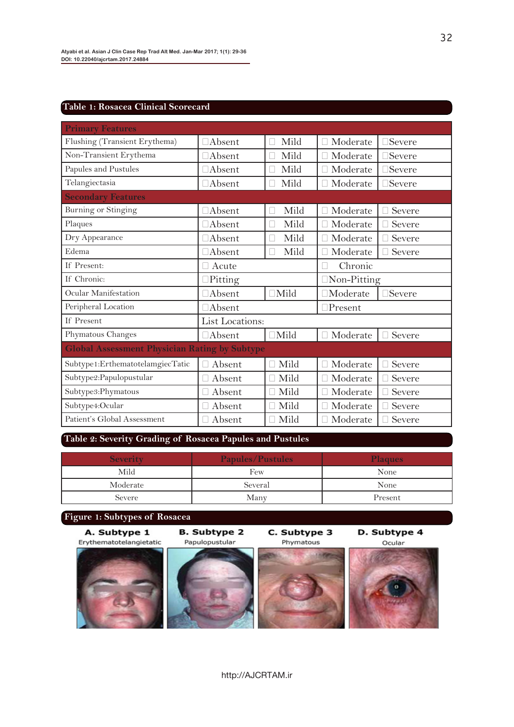### **Table 1: Rosacea Clinical Scorecard**

| <b>Primary Features</b>                              |                 |                                  |                    |                      |  |
|------------------------------------------------------|-----------------|----------------------------------|--------------------|----------------------|--|
| Flushing (Transient Erythema)                        | $\Box$ Absent   | Mild<br>$\vert \ \ \vert$        | Moderate<br>П      | $\Box$ Severe        |  |
| Non-Transient Erythema                               | $\Box$ Absent   | Mild<br>П                        | Moderate<br>П      | $\Box \text{Severe}$ |  |
| Papules and Pustules                                 | $\Box$ Absent   | Mild<br>П                        | Moderate           | $\Box$ Severe        |  |
| Telangiectasia                                       | $\Box$ Absent   | Mild<br>П                        | $\Box$ Moderate    | $\exists$ Severe     |  |
| <b>Secondary Features</b>                            |                 |                                  |                    |                      |  |
| Burning or Stinging                                  | $\Box$ Absent   | Mild<br>П                        | Moderate<br>П      | Severe               |  |
| Plaques                                              | $\Box$ Absent   | Mild<br>П                        | Moderate           | Severe               |  |
| Dry Appearance                                       | $\Box$ Absent   | Mild<br>$\overline{\phantom{a}}$ | Moderate<br>П      | Severe               |  |
| Edema                                                | □Absent         | Mild<br>П                        | Moderate<br>Ш      | Severe               |  |
| If Present:                                          | Acute           |                                  | Chronic<br>П       |                      |  |
| If Chronic:                                          | $\Box$ Pitting  |                                  | $\Box$ Non-Pitting |                      |  |
| Ocular Manifestation                                 | $\Box$ Absent   | $\Box$ Mild                      | $\Box$ Moderate    | $\Box$ Severe        |  |
| Peripheral Location                                  | □Absent         |                                  | $\Box$ Present     |                      |  |
| If Present                                           | List Locations: |                                  |                    |                      |  |
| Phymatous Changes                                    | $\Box$ Absent   | $\Box$ Mild                      | $\Box$ Moderate    | Severe               |  |
| <b>Global Assessment Physician Rating by Subtype</b> |                 |                                  |                    |                      |  |
| Subtype1:ErthematotelamgiecTatic                     | Absent          | $\Box$ Mild                      | Moderate<br>П      | Severe               |  |
| Subtype2: Papulopustular                             | Absent          | Mild<br>П                        | Moderate           | Severe               |  |
| Subtype3:Phymatous                                   | Absent          | $\Box$ Mild                      | Moderate           | Severe               |  |
| Subtype4:Ocular                                      | Absent          | $\Box$ Mild                      | Moderate           | Severe               |  |
| Patient's Global Assessment                          | Absent          | $\Box$ Mild                      | Moderate<br>П      | Severe               |  |

## **Table 2: Severity Grading of Rosacea Papules and Pustules**

| <b>Severity</b> | <b>Papules/Pustules</b> | <b>Plaques</b> |  |
|-----------------|-------------------------|----------------|--|
| Mild            | Few                     | None           |  |
| Moderate        | Several                 | None           |  |
| Severe          | Many                    | Present        |  |

## **Figure 1: Subtypes of Rosacea**

A. Subtype 1

**B.** Subtype 2

C. Subtype 3

D. Subtype 4

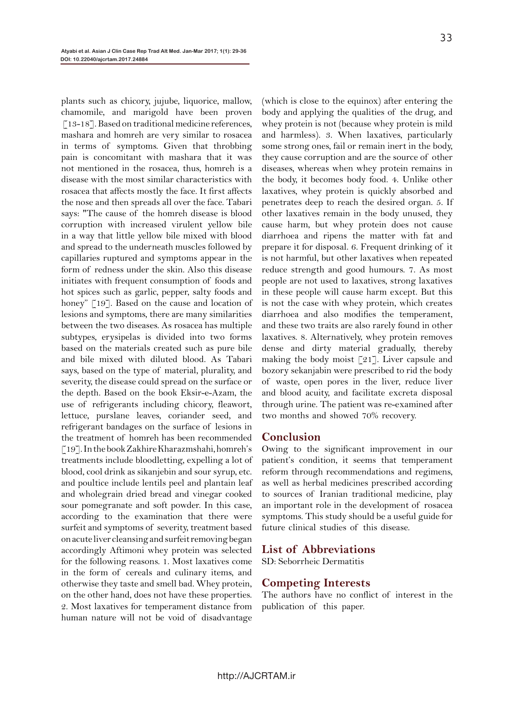plants such as chicory, jujube, liquorice, mallow, chamomile, and marigold have been proven  $\lceil 13-18 \rceil$ . Based on traditional medicine references, mashara and homreh are very similar to rosacea in terms of symptoms. Given that throbbing pain is concomitant with mashara that it was not mentioned in the rosacea, thus, homreh is a disease with the most similar characteristics with rosacea that affects mostly the face. It first affects the nose and then spreads all over the face. Tabari says: "The cause of the homreh disease is blood corruption with increased virulent yellow bile in a way that little yellow bile mixed with blood and spread to the underneath muscles followed by capillaries ruptured and symptoms appear in the form of redness under the skin. Also this disease initiates with frequent consumption of foods and hot spices such as garlic, pepper, salty foods and honey" [19]. Based on the cause and location of lesions and symptoms, there are many similarities between the two diseases. As rosacea has multiple subtypes, erysipelas is divided into two forms based on the materials created such as pure bile and bile mixed with diluted blood. As Tabari says, based on the type of material, plurality, and severity, the disease could spread on the surface or the depth. Based on the book Eksir-e-Azam, the use of refrigerants including chicory, fleawort, lettuce, purslane leaves, coriander seed, and refrigerant bandages on the surface of lesions in the treatment of homreh has been recommended [19]. In the book Zakhire Kharazmshahi, homreh's treatments include bloodletting, expelling a lot of blood, cool drink as sikanjebin and sour syrup, etc. and poultice include lentils peel and plantain leaf and wholegrain dried bread and vinegar cooked sour pomegranate and soft powder. In this case, according to the examination that there were surfeit and symptoms of severity, treatment based on acute liver cleansing and surfeit removing began accordingly Aftimoni whey protein was selected for the following reasons. 1. Most laxatives come in the form of cereals and culinary items, and otherwise they taste and smell bad. Whey protein, on the other hand, does not have these properties. 2. Most laxatives for temperament distance from human nature will not be void of disadvantage

(which is close to the equinox) after entering the body and applying the qualities of the drug, and whey protein is not (because whey protein is mild and harmless). 3. When laxatives, particularly some strong ones, fail or remain inert in the body, they cause corruption and are the source of other diseases, whereas when whey protein remains in the body, it becomes body food. 4. Unlike other laxatives, whey protein is quickly absorbed and penetrates deep to reach the desired organ. 5. If other laxatives remain in the body unused, they cause harm, but whey protein does not cause diarrhoea and ripens the matter with fat and prepare it for disposal. 6. Frequent drinking of it is not harmful, but other laxatives when repeated reduce strength and good humours. 7. As most people are not used to laxatives, strong laxatives in these people will cause harm except. But this is not the case with whey protein, which creates diarrhoea and also modifies the temperament, and these two traits are also rarely found in other laxatives. 8. Alternatively, whey protein removes dense and dirty material gradually, thereby making the body moist [21]. Liver capsule and bozory sekanjabin were prescribed to rid the body of waste, open pores in the liver, reduce liver and blood acuity, and facilitate excreta disposal through urine. The patient was re-examined after two months and showed 70% recovery.

#### **Conclusion**

Owing to the significant improvement in our patient's condition, it seems that temperament reform through recommendations and regimens, as well as herbal medicines prescribed according to sources of Iranian traditional medicine, play an important role in the development of rosacea symptoms. This study should be a useful guide for future clinical studies of this disease.

#### **List of Abbreviations**

SD: Seborrheic Dermatitis

## **Competing Interests**

The authors have no conflict of interest in the publication of this paper.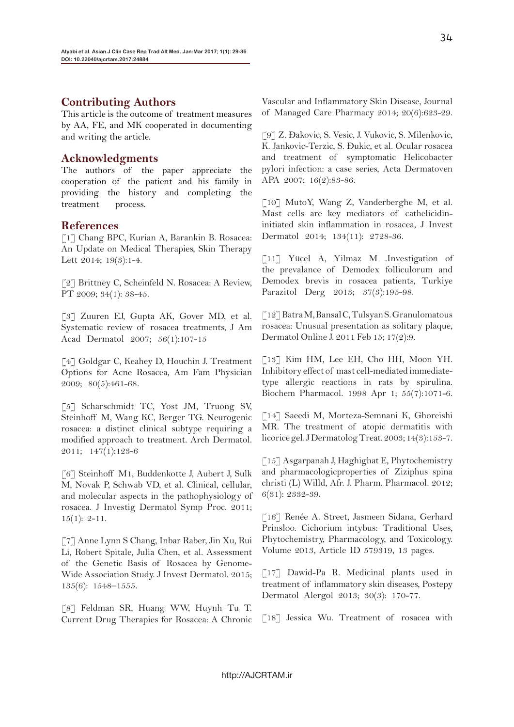## **Contributing Authors**

This article is the outcome of treatment measures by AA, FE, and MK cooperated in documenting and writing the article.

## **Acknowledgments**

The authors of the paper appreciate the cooperation of the patient and his family in providing the history and completing the treatment process.

## **References**

[1] Chang BPC, Kurian A, Barankin B. Rosacea: An Update on Medical Therapies, Skin Therapy Lett 2014; 19(3):1-4.

[2] Brittney C, Scheinfeld N. Rosacea: A Review, PT 2009; 34(1): 38-45.

[3] Zuuren EJ, Gupta AK, Gover MD, et al. Systematic review of rosacea treatments, J Am Acad Dermatol 2007; 56(1):107-15

[4] Goldgar C, Keahey D, Houchin J. Treatment Options for Acne Rosacea, Am Fam Physician 2009; 80(5):461-68.

[5] Scharschmidt TC, Yost JM, Truong SV, Steinhoff M, Wang KC, Berger TG. Neurogenic rosacea: a distinct clinical subtype requiring a modified approach to treatment. Arch Dermatol. 2011; 147(1):123-6

[6] Steinhoff M1, Buddenkotte J, Aubert J, Sulk M, Novak P, Schwab VD, et al. Clinical, cellular, and molecular aspects in the pathophysiology of rosacea. J Investig Dermatol Symp Proc. 2011;  $15(1): 2-11.$ 

[7] Anne Lynn S Chang, Inbar Raber, Jin Xu, Rui Li, Robert Spitale, Julia Chen, et al. Assessment of the Genetic Basis of Rosacea by Genome-Wide Association Study. J Invest Dermatol. 2015; 135(6): 1548–1555.

[8] Feldman SR, Huang WW, Huynh Tu T. Current Drug Therapies for Rosacea: A Chronic

Vascular and Inflammatory Skin Disease, Journal of Managed Care Pharmacy 2014; 20(6):623-29.

[9] Z. Ðakovic, S. Vesic, J. Vukovic, S. Milenkovic, K. Jankovic-Terzic, S. Ðukic, et al. Ocular rosacea and treatment of symptomatic Helicobacter pylori infection: a case series, Acta Dermatoven APA 2007; 16(2):83-86.

[10] MutoY, Wang Z, Vanderberghe M, et al. Mast cells are key mediators of cathelicidininitiated skin inflammation in rosacea, J Invest Dermatol 2014; 134(11): 2728-36.

[11] Yücel A, Yilmaz M .Investigation of the prevalance of Demodex folliculorum and Demodex brevis in rosacea patients, Turkiye Parazitol Derg 2013; 37(3):195-98.

[12] Batra M, Bansal C, Tulsyan S. Granulomatous rosacea: Unusual presentation as solitary plaque, Dermatol Online J. 2011 Feb 15; 17(2):9.

[13] Kim HM, Lee EH, Cho HH, Moon YH. Inhibitory effect of mast cell-mediated immediatetype allergic reactions in rats by spirulina. Biochem Pharmacol. 1998 Apr 1; 55(7):1071-6.

[14] Saeedi M, Morteza-Semnani K, Ghoreishi MR. The treatment of atopic dermatitis with licorice gel. J Dermatolog Treat. 2003; 14(3):153-7.

[15] Asgarpanah J, Haghighat E, Phytochemistry and pharmacologicproperties of Ziziphus spina christi (L) Willd, Afr. J. Pharm. Pharmacol. 2012; 6(31): 2332-39.

[16] Renée A. Street, Jasmeen Sidana, Gerhard Prinsloo. Cichorium intybus: Traditional Uses, Phytochemistry, Pharmacology, and Toxicology. Volume 2013, Article ID 579319, 13 pages.

[17] Dawid-Pa R. Medicinal plants used in treatment of inflammatory skin diseases, Postepy Dermatol Alergol 2013; 30(3): 170-77.

[18] Jessica Wu. Treatment of rosacea with